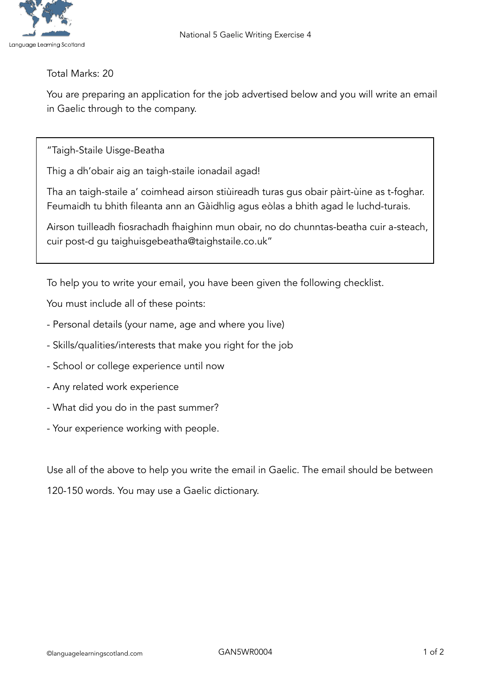

## Total Marks: 20

You are preparing an application for the job advertised below and you will write an email in Gaelic through to the company.

"Taigh-Staile Uisge-Beatha

Thig a dh'obair aig an taigh-staile ionadail agad!

Tha an taigh-staile a' coimhead airson stiùireadh turas gus obair pàirt-ùine as t-foghar. Feumaidh tu bhith fileanta ann an Gàidhlig agus eòlas a bhith agad le luchd-turais.

Airson tuilleadh fiosrachadh fhaighinn mun obair, no do chunntas-beatha cuir a-steach, cuir post-d gu taighuisgebeatha@taighstaile.co.uk"

To help you to write your email, you have been given the following checklist.

You must include all of these points:

- Personal details (your name, age and where you live)
- Skills/qualities/interests that make you right for the job
- School or college experience until now
- Any related work experience
- What did you do in the past summer?
- Your experience working with people.

Use all of the above to help you write the email in Gaelic. The email should be between 120-150 words. You may use a Gaelic dictionary.